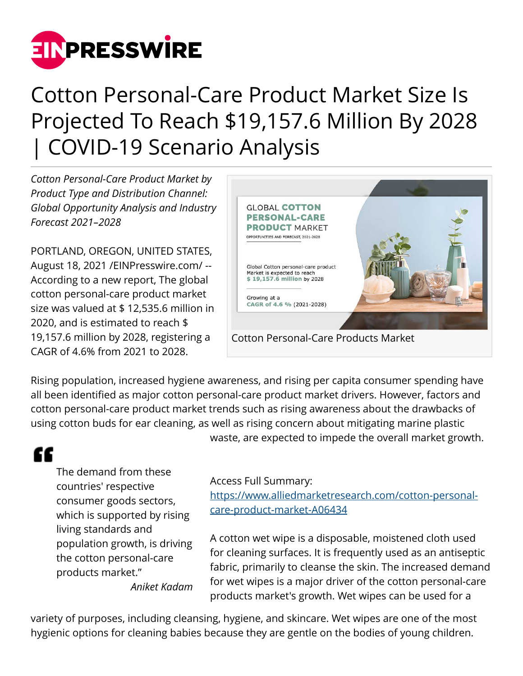

# Cotton Personal-Care Product Market Size Is Projected To Reach \$19,157.6 Million By 2028 | COVID-19 Scenario Analysis

*Cotton Personal-Care Product Market by Product Type and Distribution Channel: Global Opportunity Analysis and Industry Forecast 2021–2028*

PORTLAND, OREGON, UNITED STATES, August 18, 2021 /[EINPresswire.com/](http://www.einpresswire.com) -- According to a new report, The global cotton personal-care product market size was valued at \$ 12,535.6 million in 2020, and is estimated to reach \$ 19,157.6 million by 2028, registering a CAGR of 4.6% from 2021 to 2028.



Rising population, increased hygiene awareness, and rising per capita consumer spending have all been identified as major cotton personal-care product market drivers. However, factors and cotton personal-care product market trends such as rising awareness about the drawbacks of using cotton buds for ear cleaning, as well as rising concern about mitigating marine plastic

## "

The demand from these countries' respective consumer goods sectors, which is supported by rising living standards and population growth, is driving the cotton personal-care products market."

*Aniket Kadam*

waste, are expected to impede the overall market growth.

#### Access Full Summary:

[https://www.alliedmarketresearch.com/cotton-personal](https://www.alliedmarketresearch.com/cotton-personal-care-product-market-A06434)[care-product-market-A06434](https://www.alliedmarketresearch.com/cotton-personal-care-product-market-A06434)

A cotton wet wipe is a disposable, moistened cloth used for cleaning surfaces. It is frequently used as an antiseptic fabric, primarily to cleanse the skin. The increased demand for wet wipes is a major driver of the cotton personal-care products market's growth. Wet wipes can be used for a

variety of purposes, including cleansing, hygiene, and skincare. Wet wipes are one of the most hygienic options for cleaning babies because they are gentle on the bodies of young children.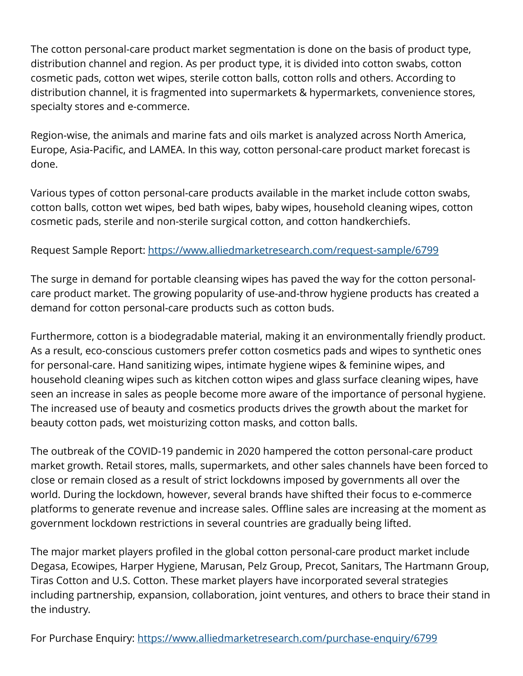The cotton personal-care product market segmentation is done on the basis of product type, distribution channel and region. As per product type, it is divided into cotton swabs, cotton cosmetic pads, cotton wet wipes, sterile cotton balls, cotton rolls and others. According to distribution channel, it is fragmented into supermarkets & hypermarkets, convenience stores, specialty stores and e-commerce.

Region-wise, the animals and marine fats and oils market is analyzed across North America, Europe, Asia-Pacific, and LAMEA. In this way, cotton personal-care product market forecast is done.

Various types of cotton personal-care products available in the market include cotton swabs, cotton balls, cotton wet wipes, bed bath wipes, baby wipes, household cleaning wipes, cotton cosmetic pads, sterile and non-sterile surgical cotton, and cotton handkerchiefs.

### Request Sample Report:<https://www.alliedmarketresearch.com/request-sample/6799>

The surge in demand for portable cleansing wipes has paved the way for the cotton personalcare product market. The growing popularity of use-and-throw hygiene products has created a demand for cotton personal-care products such as cotton buds.

Furthermore, cotton is a biodegradable material, making it an environmentally friendly product. As a result, eco-conscious customers prefer cotton cosmetics pads and wipes to synthetic ones for personal-care. Hand sanitizing wipes, intimate hygiene wipes & feminine wipes, and household cleaning wipes such as kitchen cotton wipes and glass surface cleaning wipes, have seen an increase in sales as people become more aware of the importance of personal hygiene. The increased use of beauty and cosmetics products drives the growth about the market for beauty cotton pads, wet moisturizing cotton masks, and cotton balls.

The outbreak of the COVID-19 pandemic in 2020 hampered the cotton personal-care product market growth. Retail stores, malls, supermarkets, and other sales channels have been forced to close or remain closed as a result of strict lockdowns imposed by governments all over the world. During the lockdown, however, several brands have shifted their focus to e-commerce platforms to generate revenue and increase sales. Offline sales are increasing at the moment as government lockdown restrictions in several countries are gradually being lifted.

The major market players profiled in the global cotton personal-care product market include Degasa, Ecowipes, Harper Hygiene, Marusan, Pelz Group, Precot, Sanitars, The Hartmann Group, Tiras Cotton and U.S. Cotton. These market players have incorporated several strategies including partnership, expansion, collaboration, joint ventures, and others to brace their stand in the industry.

For Purchase Enquiry: <https://www.alliedmarketresearch.com/purchase-enquiry/6799>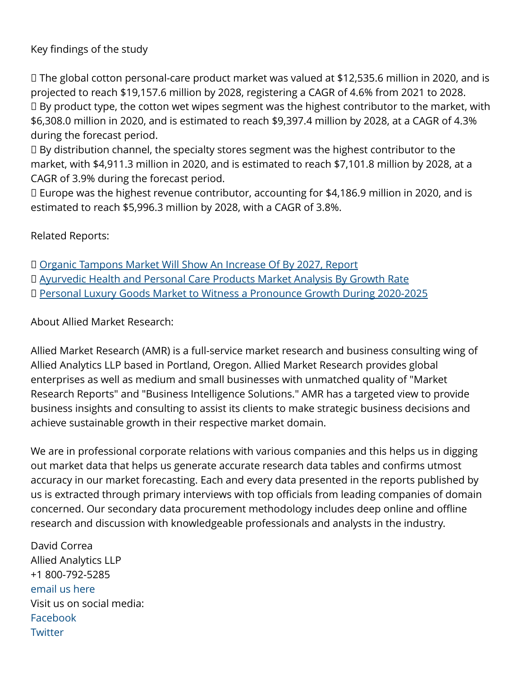Key findings of the study

□ The global cotton personal-care product market was valued at \$12,535.6 million in 2020, and is projected to reach \$19,157.6 million by 2028, registering a CAGR of 4.6% from 2021 to 2028. □ By product type, the cotton wet wipes segment was the highest contributor to the market, with \$6,308.0 million in 2020, and is estimated to reach \$9,397.4 million by 2028, at a CAGR of 4.3% during the forecast period.

○ By distribution channel, the specialty stores segment was the highest contributor to the market, with \$4,911.3 million in 2020, and is estimated to reach \$7,101.8 million by 2028, at a CAGR of 3.9% during the forecast period.

□ Europe was the highest revenue contributor, accounting for \$4,186.9 million in 2020, and is estimated to reach \$5,996.3 million by 2028, with a CAGR of 3.8%.

Related Reports:

**D [Organic Tampons Market Will Show An Increase Of By 2027, Report](https://www.alliedmarketresearch.com/organic-tampons-market-A07036)** 

- **D** [Ayurvedic Health and Personal Care Products Market Analysis By Growth Rate](https://www.alliedmarketresearch.com/ayurvedic-health-and-personal-care-products-market)
- ○ [Personal Luxury Goods Market to Witness a Pronounce Growth During 2020-2025](https://www.alliedmarketresearch.com/personal-luxury-goods-market-A07936)

About Allied Market Research:

Allied Market Research (AMR) is a full-service market research and business consulting wing of Allied Analytics LLP based in Portland, Oregon. Allied Market Research provides global enterprises as well as medium and small businesses with unmatched quality of "Market Research Reports" and "Business Intelligence Solutions." AMR has a targeted view to provide business insights and consulting to assist its clients to make strategic business decisions and achieve sustainable growth in their respective market domain.

We are in professional corporate relations with various companies and this helps us in digging out market data that helps us generate accurate research data tables and confirms utmost accuracy in our market forecasting. Each and every data presented in the reports published by us is extracted through primary interviews with top officials from leading companies of domain concerned. Our secondary data procurement methodology includes deep online and offline research and discussion with knowledgeable professionals and analysts in the industry.

David Correa Allied Analytics LLP +1 800-792-5285 [email us here](http://www.einpresswire.com/contact_author/3135320) Visit us on social media: [Facebook](https://www.facebook.com/alliedmarketresearch/) **[Twitter](https://twitter.com/allied_mr)**